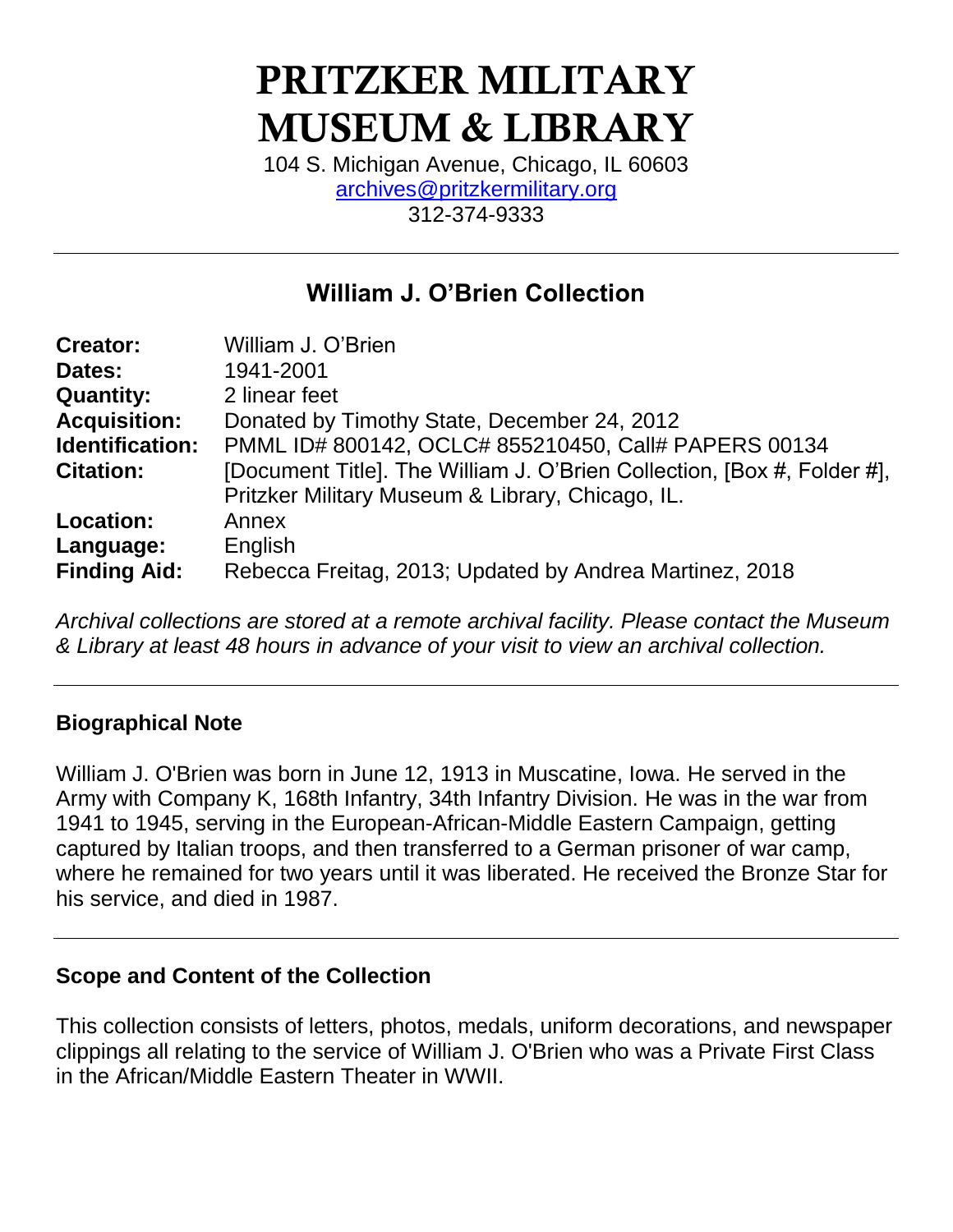# PRITZKER MILITARY MUSEUM & LIBRARY

104 S. Michigan Avenue, Chicago, IL 60603 [archives@pritzkermilitary.org](mailto:archives@pritzkermilitary.org) 312-374-9333

# **William J. O'Brien Collection**

| <b>Creator:</b>     | William J. O'Brien                                                      |
|---------------------|-------------------------------------------------------------------------|
| Dates:              | 1941-2001                                                               |
| <b>Quantity:</b>    | 2 linear feet                                                           |
| <b>Acquisition:</b> | Donated by Timothy State, December 24, 2012                             |
| Identification:     | PMML ID# 800142, OCLC# 855210450, Call# PAPERS 00134                    |
| <b>Citation:</b>    | [Document Title]. The William J. O'Brien Collection, [Box #, Folder #], |
|                     | Pritzker Military Museum & Library, Chicago, IL.                        |
| <b>Location:</b>    | Annex                                                                   |
| Language:           | English                                                                 |
| <b>Finding Aid:</b> | Rebecca Freitag, 2013; Updated by Andrea Martinez, 2018                 |
|                     |                                                                         |

*Archival collections are stored at a remote archival facility. Please contact the Museum & Library at least 48 hours in advance of your visit to view an archival collection.*

#### **Biographical Note**

William J. O'Brien was born in June 12, 1913 in Muscatine, Iowa. He served in the Army with Company K, 168th Infantry, 34th Infantry Division. He was in the war from 1941 to 1945, serving in the European-African-Middle Eastern Campaign, getting captured by Italian troops, and then transferred to a German prisoner of war camp, where he remained for two years until it was liberated. He received the Bronze Star for his service, and died in 1987.

#### **Scope and Content of the Collection**

This collection consists of letters, photos, medals, uniform decorations, and newspaper clippings all relating to the service of William J. O'Brien who was a Private First Class in the African/Middle Eastern Theater in WWII.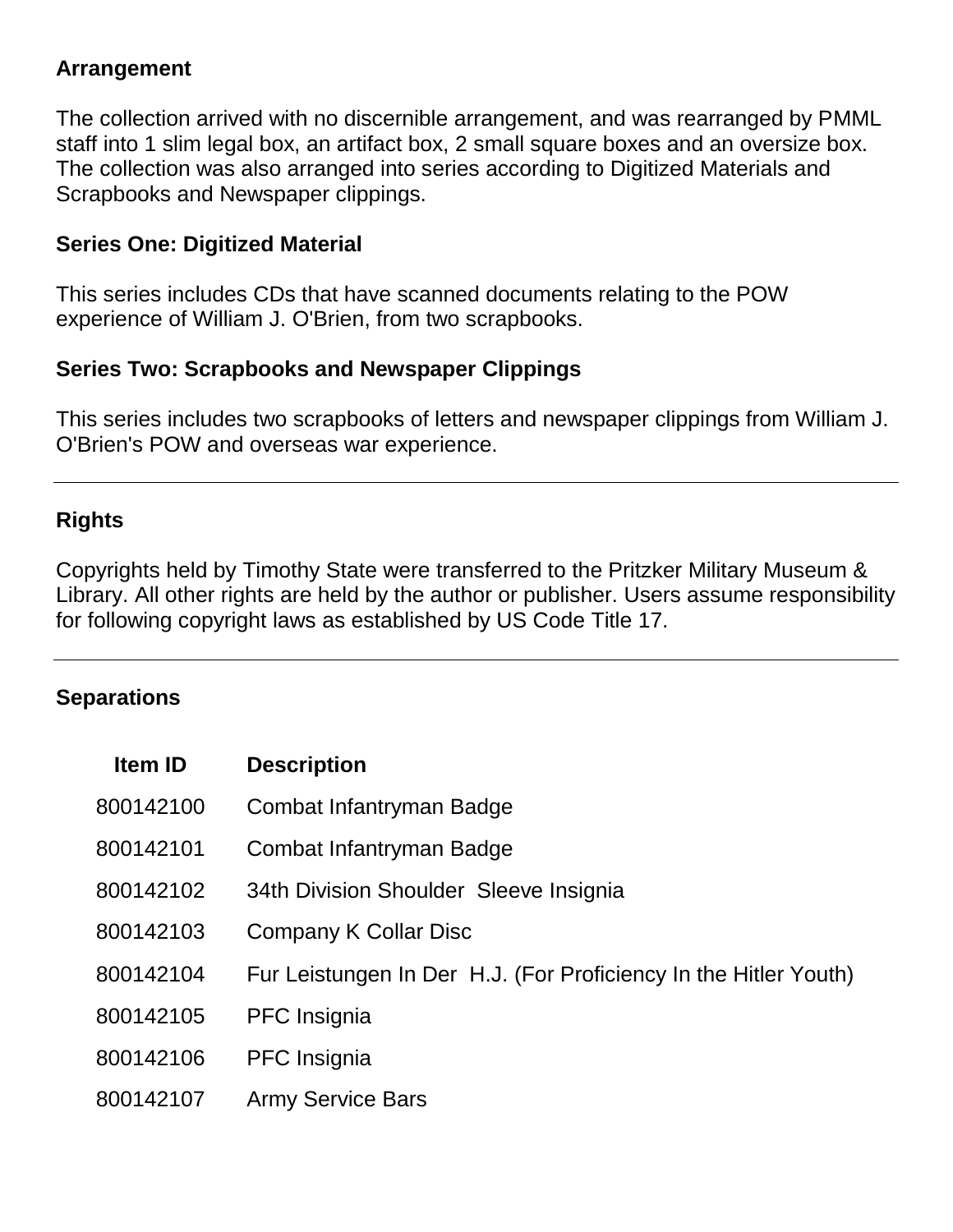#### **Arrangement**

The collection arrived with no discernible arrangement, and was rearranged by PMML staff into 1 slim legal box, an artifact box, 2 small square boxes and an oversize box. The collection was also arranged into series according to Digitized Materials and Scrapbooks and Newspaper clippings.

#### **Series One: Digitized Material**

This series includes CDs that have scanned documents relating to the POW experience of William J. O'Brien, from two scrapbooks.

#### **Series Two: Scrapbooks and Newspaper Clippings**

This series includes two scrapbooks of letters and newspaper clippings from William J. O'Brien's POW and overseas war experience.

### **Rights**

Copyrights held by Timothy State were transferred to the Pritzker Military Museum & Library. All other rights are held by the author or publisher. Users assume responsibility for following copyright laws as established by US Code Title 17.

## **Separations**

| <b>Item ID</b> | <b>Description</b>                                               |
|----------------|------------------------------------------------------------------|
| 800142100      | Combat Infantryman Badge                                         |
| 800142101      | Combat Infantryman Badge                                         |
| 800142102      | 34th Division Shoulder Sleeve Insignia                           |
| 800142103      | Company K Collar Disc                                            |
| 800142104      | Fur Leistungen In Der H.J. (For Proficiency In the Hitler Youth) |
| 800142105      | <b>PFC</b> Insignia                                              |
| 800142106      | <b>PFC</b> Insignia                                              |
| 800142107      | <b>Army Service Bars</b>                                         |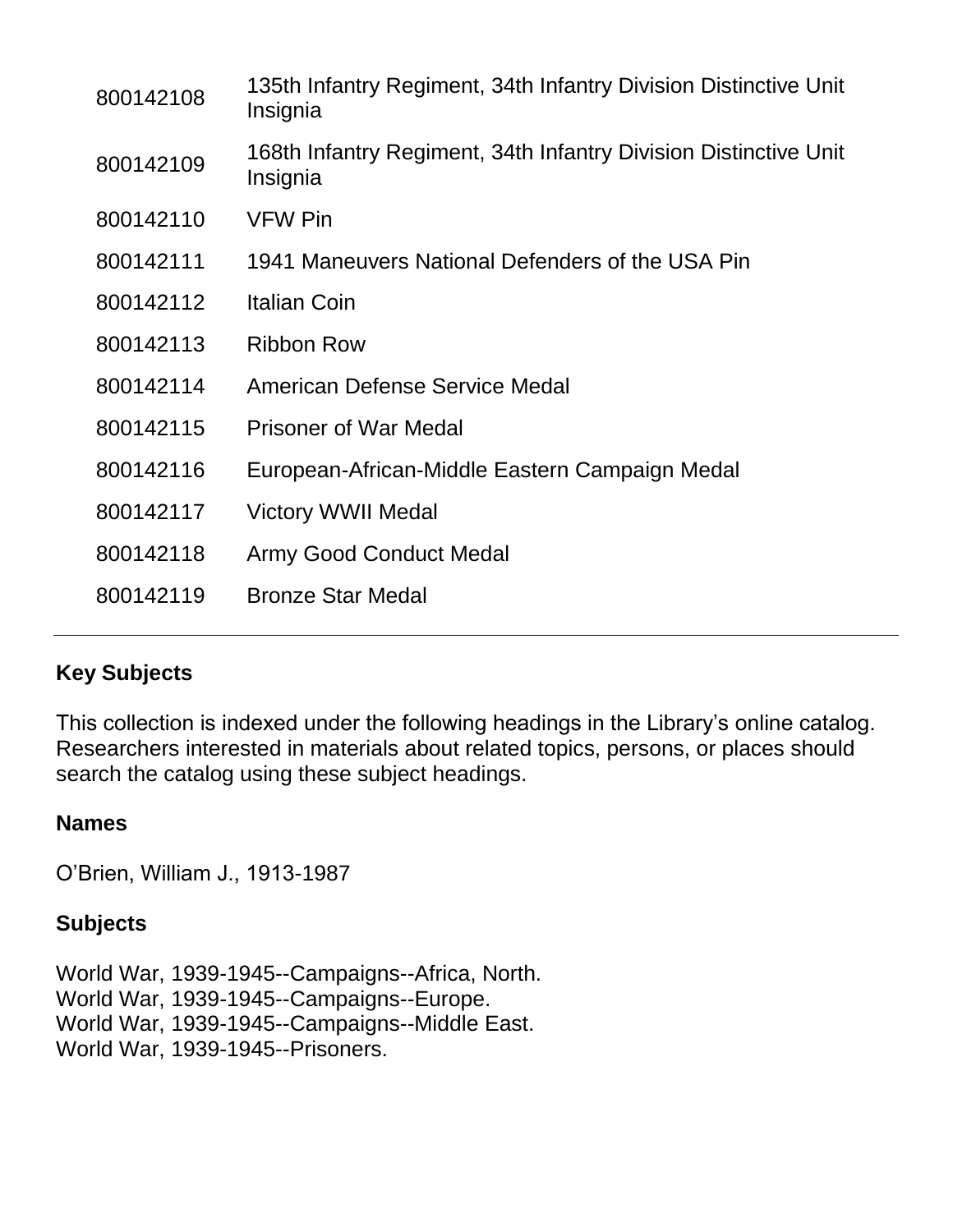| 800142108 | 135th Infantry Regiment, 34th Infantry Division Distinctive Unit<br>Insignia |
|-----------|------------------------------------------------------------------------------|
| 800142109 | 168th Infantry Regiment, 34th Infantry Division Distinctive Unit<br>Insignia |
| 800142110 | <b>VFW Pin</b>                                                               |
| 800142111 | 1941 Maneuvers National Defenders of the USA Pin                             |
| 800142112 | <b>Italian Coin</b>                                                          |
| 800142113 | <b>Ribbon Row</b>                                                            |
| 800142114 | American Defense Service Medal                                               |
| 800142115 | <b>Prisoner of War Medal</b>                                                 |
| 800142116 | European-African-Middle Eastern Campaign Medal                               |
| 800142117 | <b>Victory WWII Medal</b>                                                    |
| 800142118 | <b>Army Good Conduct Medal</b>                                               |
| 800142119 | <b>Bronze Star Medal</b>                                                     |

## **Key Subjects**

This collection is indexed under the following headings in the Library's online catalog. Researchers interested in materials about related topics, persons, or places should search the catalog using these subject headings.

#### **Names**

O'Brien, William J., 1913-1987

## **Subjects**

World War, 1939-1945--Campaigns--Africa, North. World War, 1939-1945--Campaigns--Europe. World War, 1939-1945--Campaigns--Middle East. World War, 1939-1945--Prisoners.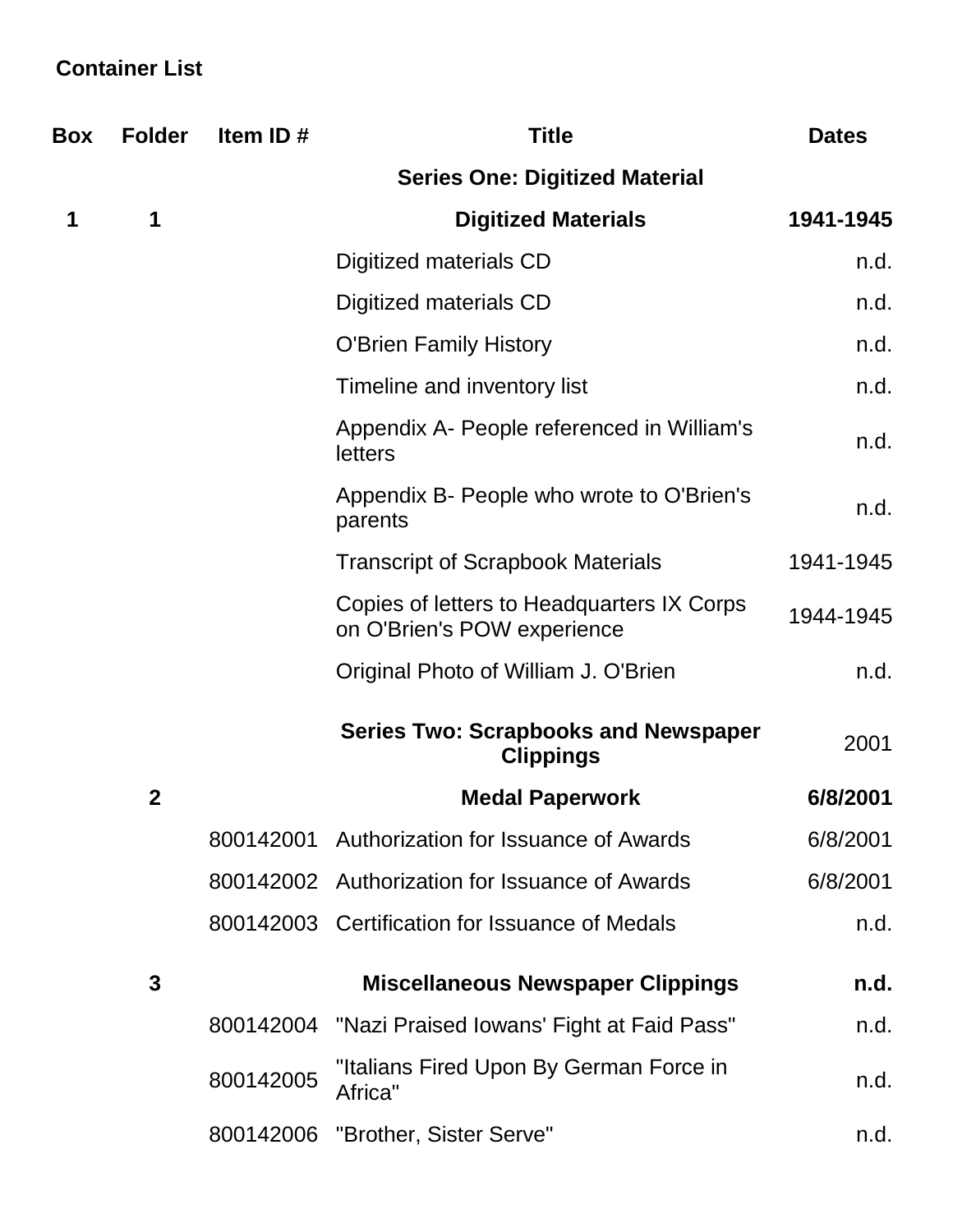# **Container List**

| <b>Box</b> | <b>Folder</b> | Item ID#  | <b>Title</b>                                                              | <b>Dates</b> |
|------------|---------------|-----------|---------------------------------------------------------------------------|--------------|
|            |               |           | <b>Series One: Digitized Material</b>                                     |              |
| 1          | 1             |           | <b>Digitized Materials</b>                                                | 1941-1945    |
|            |               |           | Digitized materials CD                                                    | n.d.         |
|            |               |           | Digitized materials CD                                                    | n.d.         |
|            |               |           | <b>O'Brien Family History</b>                                             | n.d.         |
|            |               |           | Timeline and inventory list                                               | n.d.         |
|            |               |           | Appendix A- People referenced in William's<br>letters                     | n.d.         |
|            |               |           | Appendix B- People who wrote to O'Brien's<br>parents                      | n.d.         |
|            |               |           | <b>Transcript of Scrapbook Materials</b>                                  | 1941-1945    |
|            |               |           | Copies of letters to Headquarters IX Corps<br>on O'Brien's POW experience | 1944-1945    |
|            |               |           | Original Photo of William J. O'Brien                                      | n.d.         |
|            |               |           | <b>Series Two: Scrapbooks and Newspaper</b><br><b>Clippings</b>           | 2001         |
|            | $\mathbf{2}$  |           | <b>Medal Paperwork</b>                                                    | 6/8/2001     |
|            |               | 800142001 | Authorization for Issuance of Awards                                      | 6/8/2001     |
|            |               |           | 800142002 Authorization for Issuance of Awards                            | 6/8/2001     |
|            |               |           | 800142003 Certification for Issuance of Medals                            | n.d.         |
|            | 3             |           | <b>Miscellaneous Newspaper Clippings</b>                                  | n.d.         |
|            |               | 800142004 | "Nazi Praised Iowans' Fight at Faid Pass"                                 | n.d.         |
|            |               | 800142005 | "Italians Fired Upon By German Force in<br>Africa"                        | n.d.         |
|            |               | 800142006 | "Brother, Sister Serve"                                                   | n.d.         |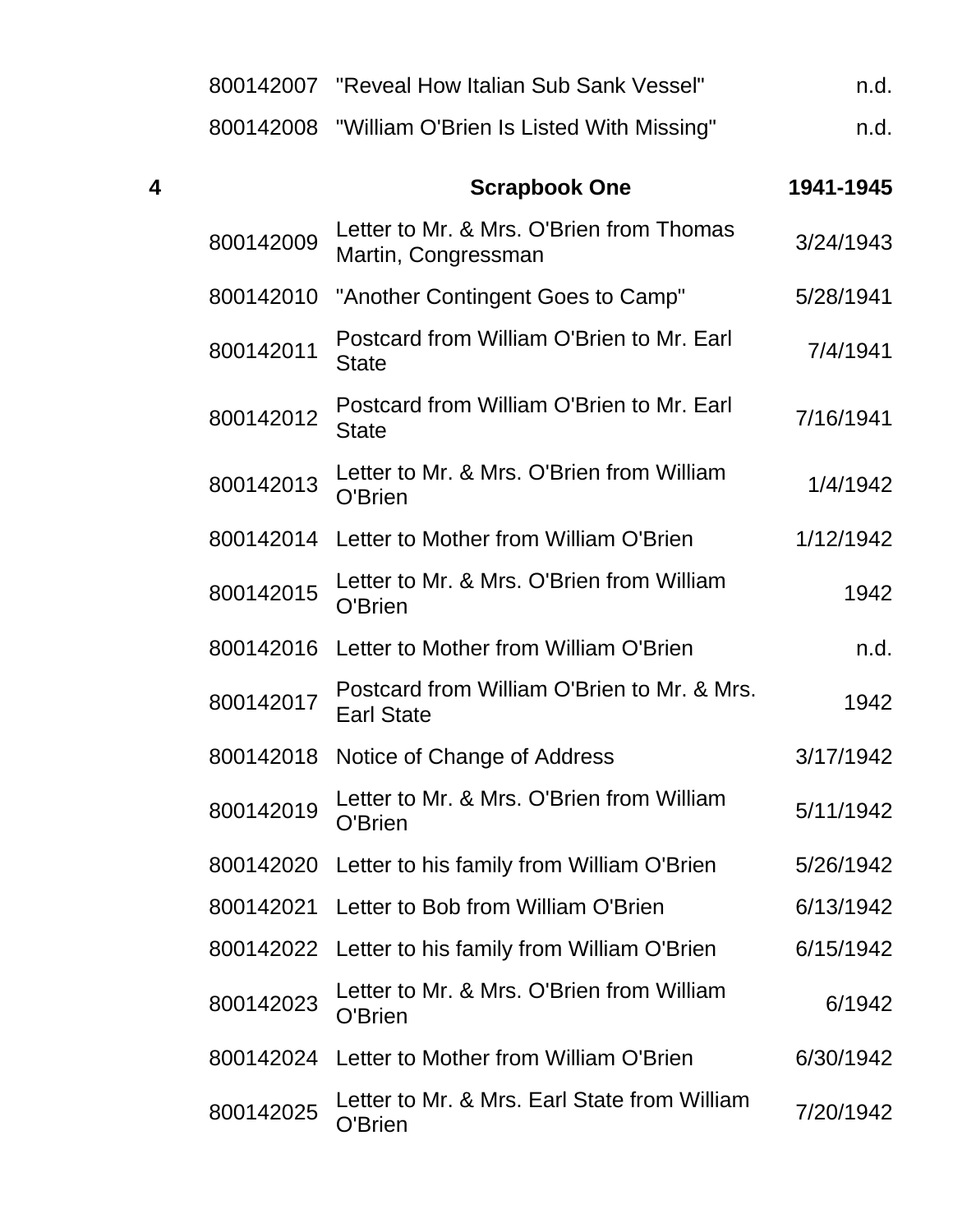|   |           | 800142007 "Reveal How Italian Sub Sank Vessel"                   | n.d.      |
|---|-----------|------------------------------------------------------------------|-----------|
|   |           | 800142008 "William O'Brien Is Listed With Missing"               | n.d.      |
| 4 |           | <b>Scrapbook One</b>                                             | 1941-1945 |
|   | 800142009 | Letter to Mr. & Mrs. O'Brien from Thomas<br>Martin, Congressman  | 3/24/1943 |
|   | 800142010 | "Another Contingent Goes to Camp"                                | 5/28/1941 |
|   | 800142011 | Postcard from William O'Brien to Mr. Earl<br><b>State</b>        | 7/4/1941  |
|   | 800142012 | Postcard from William O'Brien to Mr. Earl<br><b>State</b>        | 7/16/1941 |
|   | 800142013 | Letter to Mr. & Mrs. O'Brien from William<br>O'Brien             | 1/4/1942  |
|   | 800142014 | Letter to Mother from William O'Brien                            | 1/12/1942 |
|   | 800142015 | Letter to Mr. & Mrs. O'Brien from William<br>O'Brien             | 1942      |
|   | 800142016 | Letter to Mother from William O'Brien                            | n.d.      |
|   | 800142017 | Postcard from William O'Brien to Mr. & Mrs.<br><b>Earl State</b> | 1942      |
|   | 800142018 | Notice of Change of Address                                      | 3/17/1942 |
|   | 800142019 | Letter to Mr. & Mrs. O'Brien from William<br>O'Brien             | 5/11/1942 |
|   | 800142020 | Letter to his family from William O'Brien                        | 5/26/1942 |
|   | 800142021 | Letter to Bob from William O'Brien                               | 6/13/1942 |
|   | 800142022 | Letter to his family from William O'Brien                        | 6/15/1942 |
|   | 800142023 | Letter to Mr. & Mrs. O'Brien from William<br>O'Brien             | 6/1942    |
|   | 800142024 | Letter to Mother from William O'Brien                            | 6/30/1942 |
|   | 800142025 | Letter to Mr. & Mrs. Earl State from William<br>O'Brien          | 7/20/1942 |
|   |           |                                                                  |           |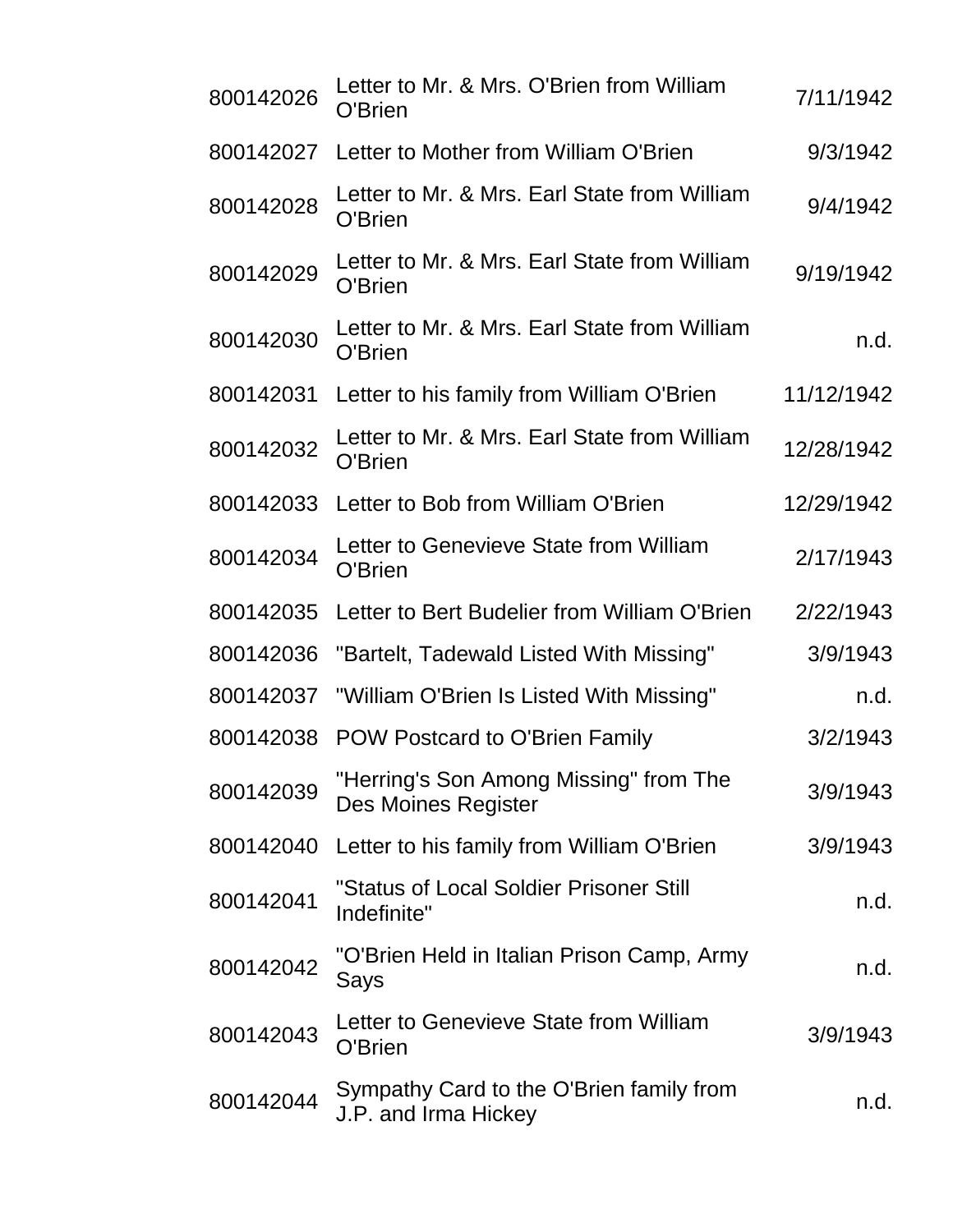| 800142026 | Letter to Mr. & Mrs. O'Brien from William<br>O'Brien             | 7/11/1942  |
|-----------|------------------------------------------------------------------|------------|
| 800142027 | Letter to Mother from William O'Brien                            | 9/3/1942   |
| 800142028 | Letter to Mr. & Mrs. Earl State from William<br>O'Brien          | 9/4/1942   |
| 800142029 | Letter to Mr. & Mrs. Earl State from William<br>O'Brien          | 9/19/1942  |
| 800142030 | Letter to Mr. & Mrs. Earl State from William<br>O'Brien          | n.d.       |
| 800142031 | Letter to his family from William O'Brien                        | 11/12/1942 |
| 800142032 | Letter to Mr. & Mrs. Earl State from William<br>O'Brien          | 12/28/1942 |
| 800142033 | Letter to Bob from William O'Brien                               | 12/29/1942 |
| 800142034 | Letter to Genevieve State from William<br>O'Brien                | 2/17/1943  |
| 800142035 | Letter to Bert Budelier from William O'Brien                     | 2/22/1943  |
| 800142036 | "Bartelt, Tadewald Listed With Missing"                          | 3/9/1943   |
| 800142037 | "William O'Brien Is Listed With Missing"                         | n.d.       |
|           | 800142038 POW Postcard to O'Brien Family                         | 3/2/1943   |
| 800142039 | "Herring's Son Among Missing" from The<br>Des Moines Register    | 3/9/1943   |
| 800142040 | Letter to his family from William O'Brien                        | 3/9/1943   |
| 800142041 | "Status of Local Soldier Prisoner Still<br>Indefinite"           | n.d.       |
| 800142042 | "O'Brien Held in Italian Prison Camp, Army<br>Says               | n.d.       |
| 800142043 | Letter to Genevieve State from William<br>O'Brien                | 3/9/1943   |
| 800142044 | Sympathy Card to the O'Brien family from<br>J.P. and Irma Hickey | n.d.       |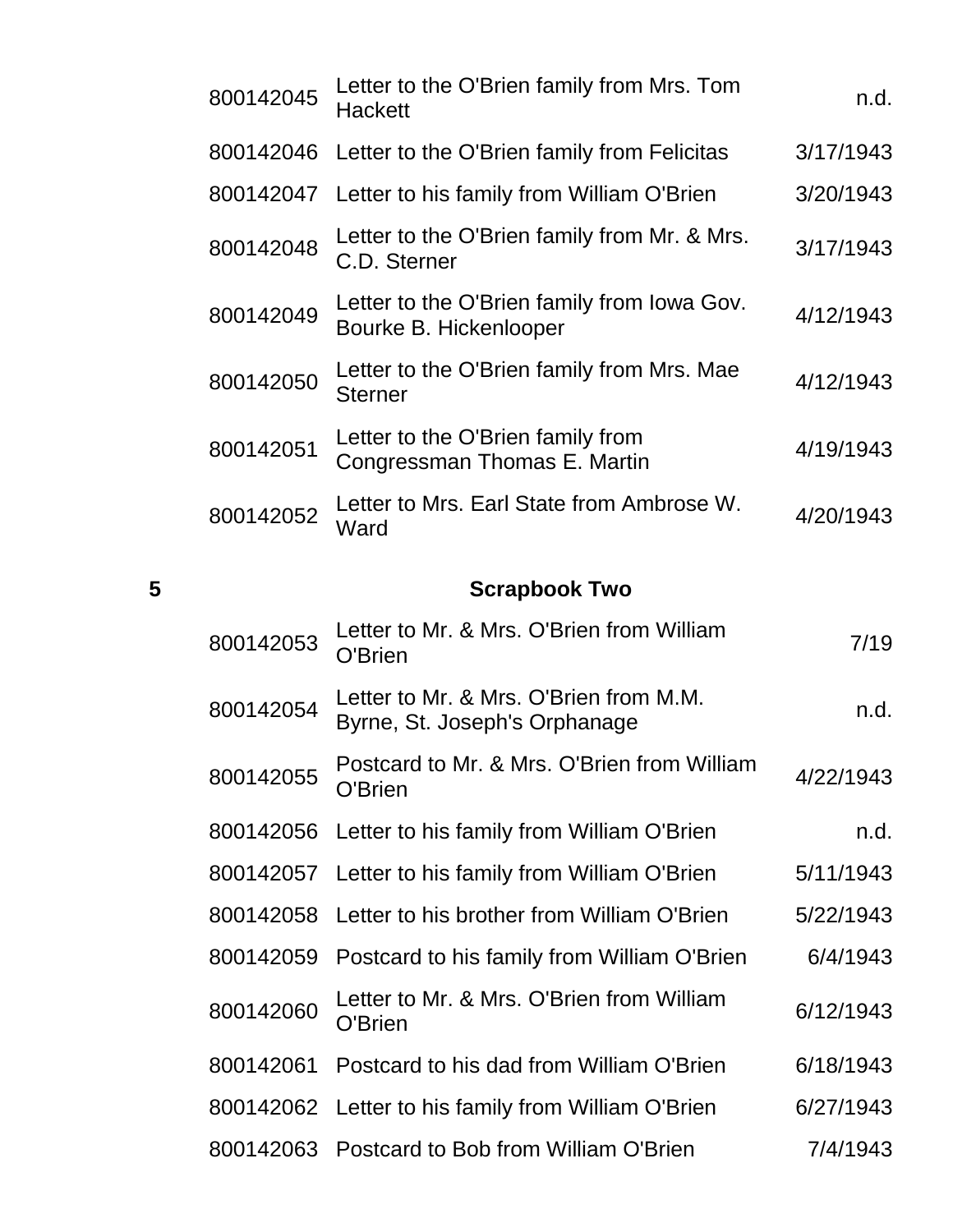|   | 800142045 | Letter to the O'Brien family from Mrs. Tom<br><b>Hackett</b>            | n.d.      |
|---|-----------|-------------------------------------------------------------------------|-----------|
|   | 800142046 | Letter to the O'Brien family from Felicitas                             | 3/17/1943 |
|   | 800142047 | Letter to his family from William O'Brien                               | 3/20/1943 |
|   | 800142048 | Letter to the O'Brien family from Mr. & Mrs.<br>C.D. Sterner            | 3/17/1943 |
|   | 800142049 | Letter to the O'Brien family from Iowa Gov.<br>Bourke B. Hickenlooper   | 4/12/1943 |
|   | 800142050 | Letter to the O'Brien family from Mrs. Mae<br><b>Sterner</b>            | 4/12/1943 |
|   | 800142051 | Letter to the O'Brien family from<br>Congressman Thomas E. Martin       | 4/19/1943 |
|   | 800142052 | Letter to Mrs. Earl State from Ambrose W.<br>Ward                       | 4/20/1943 |
| 5 |           | <b>Scrapbook Two</b>                                                    |           |
|   | 800142053 | Letter to Mr. & Mrs. O'Brien from William<br>O'Brien                    | 7/19      |
|   | 800142054 | Letter to Mr. & Mrs. O'Brien from M.M.<br>Byrne, St. Joseph's Orphanage | n.d.      |
|   | 800142055 | Postcard to Mr. & Mrs. O'Brien from William<br>O'Brien                  | 4/22/1943 |
|   | 800142056 | Letter to his family from William O'Brien                               | n.d.      |
|   | 800142057 | Letter to his family from William O'Brien                               | 5/11/1943 |
|   | 800142058 | Letter to his brother from William O'Brien                              | 5/22/1943 |
|   |           |                                                                         |           |
|   | 800142059 | Postcard to his family from William O'Brien                             | 6/4/1943  |

800142061 Postcard to his dad from William O'Brien 6/18/1943

800142062 Letter to his family from William O'Brien 6/27/1943

800142063 Postcard to Bob from William O'Brien 7/4/1943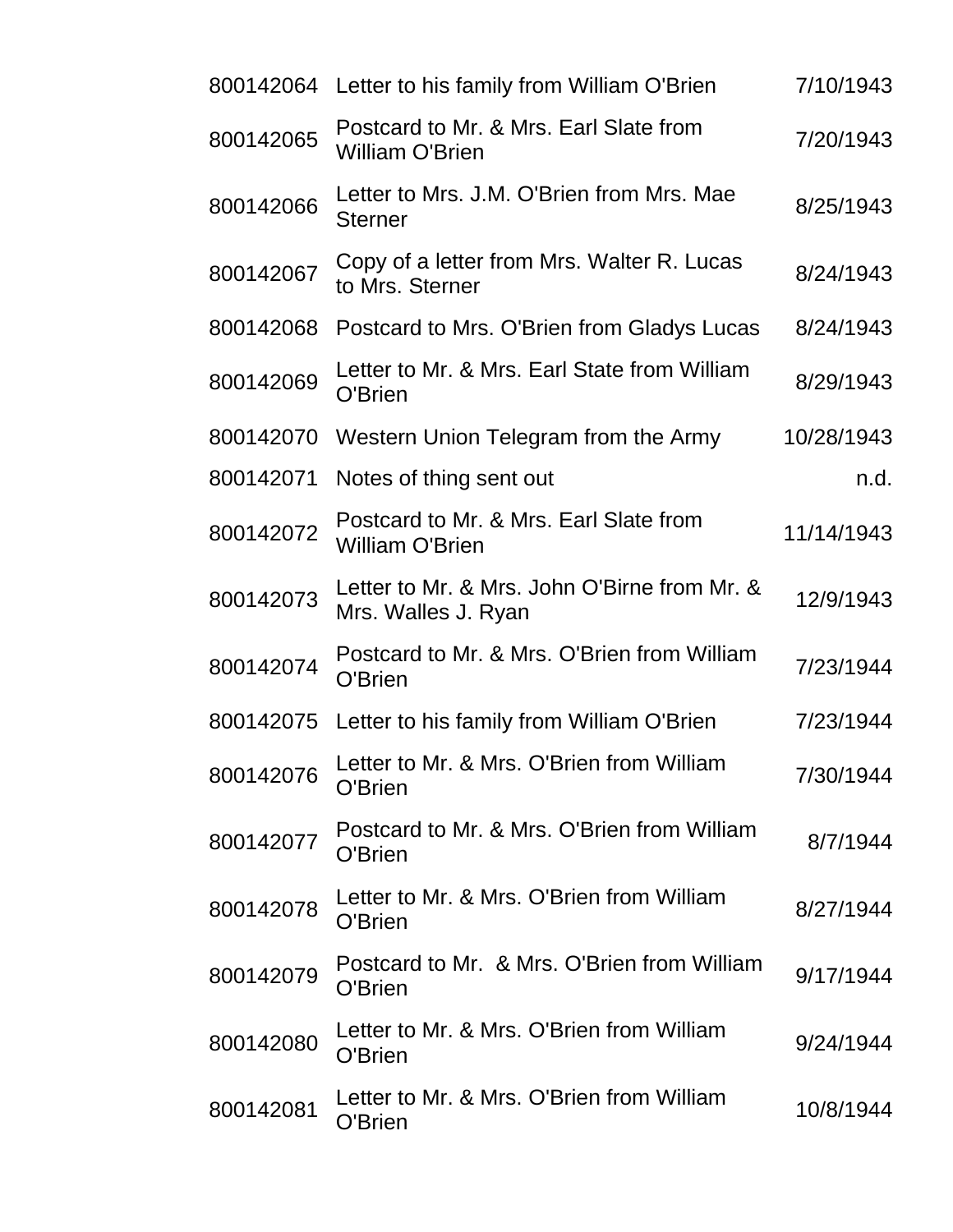|           | 800142064 Letter to his family from William O'Brien                 | 7/10/1943  |
|-----------|---------------------------------------------------------------------|------------|
| 800142065 | Postcard to Mr. & Mrs. Earl Slate from<br><b>William O'Brien</b>    | 7/20/1943  |
| 800142066 | Letter to Mrs. J.M. O'Brien from Mrs. Mae<br><b>Sterner</b>         | 8/25/1943  |
| 800142067 | Copy of a letter from Mrs. Walter R. Lucas<br>to Mrs. Sterner       | 8/24/1943  |
| 800142068 | Postcard to Mrs. O'Brien from Gladys Lucas                          | 8/24/1943  |
| 800142069 | Letter to Mr. & Mrs. Earl State from William<br>O'Brien             | 8/29/1943  |
| 800142070 | Western Union Telegram from the Army                                | 10/28/1943 |
| 800142071 | Notes of thing sent out                                             | n.d.       |
| 800142072 | Postcard to Mr. & Mrs. Earl Slate from<br><b>William O'Brien</b>    | 11/14/1943 |
| 800142073 | Letter to Mr. & Mrs. John O'Birne from Mr. &<br>Mrs. Walles J. Ryan | 12/9/1943  |
| 800142074 | Postcard to Mr. & Mrs. O'Brien from William<br>O'Brien              | 7/23/1944  |
|           | 800142075 Letter to his family from William O'Brien                 | 7/23/1944  |
| 800142076 | Letter to Mr. & Mrs. O'Brien from William<br>O'Brien                | 7/30/1944  |
| 800142077 | Postcard to Mr. & Mrs. O'Brien from William<br>O'Brien              | 8/7/1944   |
| 800142078 | Letter to Mr. & Mrs. O'Brien from William<br>O'Brien                | 8/27/1944  |
| 800142079 | Postcard to Mr. & Mrs. O'Brien from William<br>O'Brien              | 9/17/1944  |
| 800142080 | Letter to Mr. & Mrs. O'Brien from William<br>O'Brien                | 9/24/1944  |
| 800142081 | Letter to Mr. & Mrs. O'Brien from William<br>O'Brien                | 10/8/1944  |